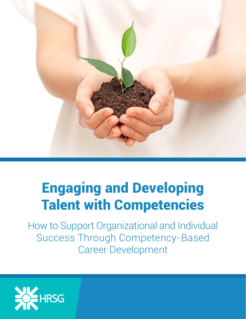

# Engaging and Developing Talent with Competencies

How to Support Organizational and Individual Success Through Competency-Based Career Development

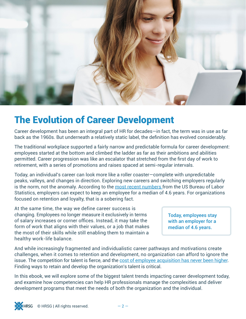

### The Evolution of Career Development

Career development has been an integral part of HR for decades—in fact, the term was in use as far back as the 1960s. But underneath a relatively static label, the definition has evolved considerably.

The traditional workplace supported a fairly narrow and predictable formula for career development: employees started at the bottom and climbed the ladder as far as their ambitions and abilities permitted. Career progression was like an escalator that stretched from the first day of work to retirement, with a series of promotions and raises spaced at semi-regular intervals.

Today, an individual's career can look more like a roller coaster—complete with unpredictable peaks, valleys, and changes in direction. Exploring new careers and switching employers regularly is the norm, not the anomaly. According to the [most recent numbers](http://www.bls.gov/news.release/tenure.nr0.htm) from the US Bureau of Labor Statistics, employers can expect to keep an employee for a median of 4.6 years. For organizations focused on retention and loyalty, that is a sobering fact.

At the same time, the way we define career success is changing. Employees no longer measure it exclusively in terms of salary increases or corner offices. Instead, it may take the form of work that aligns with their values, or a job that makes the most of their skills while still enabling them to maintain a healthy work-life balance.

Today, employees stay with an employer for a median of 4.6 years.

And while increasingly fragmented and individualistic career pathways and motivations create challenges, when it comes to retention and development, no organization can afford to ignore the issue. The competition for talent is fierce, and the [cost of employee acquisition has never been higher.](http://www.bersin.com/blog/post/Benchmarking-Talent-Acquisition-Increasing-Spend2c-Cost-Per-Hire2c-and-Time-to-Fill.aspx) Finding ways to retain and develop the organization's talent is critical.

In this ebook, we will explore some of the biggest talent trends impacting career development today, and examine how competencies can help HR professionals manage the complexities and deliver development programs that meet the needs of both the organization and the individual.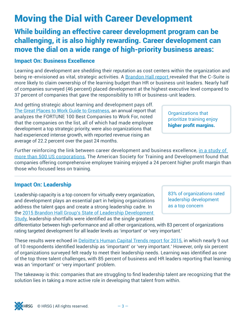### Moving the Dial with Career Development

While building an effective career development program can be challenging, it is also highly rewarding. Career development can move the dial on a wide range of high-priority business areas:

#### Impact On: Business Excellence

Learning and development are shedding their reputation as cost centers within the organization and being re-envisioned as vital, strategic activities. A [Brandon Hall report](http://www.brandonhall.com/practice_area_ld.php) revealed that the C-Suite is more likely to claim ownership of the learning budget than HR or business unit leaders. Nearly half of companies surveyed (46 percent) placed development at the highest executive level compared to 37 percent of companies that gave the responsibility to HR or business-unit leaders.

And getting strategic about learning and development pays off. [The Great Places to Work Guide to Greatness](http://hrchoice.com/wp-content/uploads/Great_Place_to_Work_Guide_to_Greatness_download.pdf), an annual report that analyzes the FORTUNE 100 Best Companies to Work For, noted that the companies on the list, all of which had made employee development a top strategic priority, were also organizations that had experienced intense growth, with reported revenue rising an average of 22.2 percent over the past 24 months.

Further reinforcing the link between career development and business excellence, [in a study of](https://www.linkedin.com/pulse/20140731043559-8175758-research-consistently-shows-that-training-employees-pays-off-with-profits)  [more than 500 US corporations](https://www.linkedin.com/pulse/20140731043559-8175758-research-consistently-shows-that-training-employees-pays-off-with-profits), The American Society for Training and Development found that companies offering comprehensive employee training enjoyed a 24 percent higher profit margin than those who focused less on training.

#### Impact On: Leadership

Leadership capacity is a top concern for virtually every organization, and development plays an essential part in helping organizations address the talent gaps and create a strong leadership cadre. In the [2015 Brandon Hall Group's State of Leadership Development](http://www.brandonhall.com/practice_area_ld.php)  [Study](http://www.brandonhall.com/practice_area_ld.php), leadership shortfalls were identified as the single greatest

83% of organizations rated leadership development as a top concern

differentiator between high-performance and all other organizations, with 83 percent of organizations rating targeted development for all leader levels as 'important' or 'very important.'

These results were echoed in [Deloitte's Human Capital Trends report for 2015](http://www2.deloitte.com/content/dam/Deloitte/at/Documents/human-capital/hc-trends-2015.pdf), in which nearly 9 out of 10 respondents identified leadership as 'important' or 'very important.' However, only six percent of organizations surveyed felt ready to meet their leadership needs. Learning was identified as one of the top three talent challenges, with 85 percent of business and HR leaders reporting that learning was an 'important' or 'very important' problem.

The takeaway is this: companies that are struggling to find leadership talent are recognizing that the solution lies in taking a more active role in developing that talent from within.

Organizations that prioritize training enjoy higher profit margins.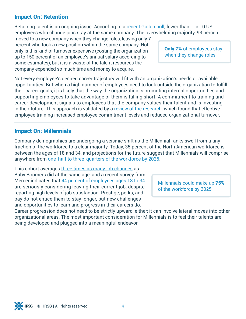#### Impact On: Retention

Retaining talent is an ongoing issue. According to a [recent Gallup poll](http://www.gallup.com/businessjournal/186311/making-career-moves-americans-switch-companies.aspx), fewer than 1 in 10 US employees who change jobs stay at the same company. The overwhelming majority, 93 percent,

moved to a new company when they change roles, leaving only 7 percent who took a new position within the same company. Not only is this kind of turnover expensive (costing the organization up to 150 percent of an employee's annual salary according to some estimates), but it is a waste of the talent resources the company expended so much time and money to acquire.

Not every employee's desired career trajectory will fit with an organization's needs or available opportunities. But when a high number of employees need to look outside the organization to fulfill their career goals, it is likely that the way the organization is promoting internal opportunities and supporting employees to take advantage of them is falling short. A commitment to training and career development signals to employees that the company values their talent and is investing in their future. This approach is validated by a [review of the research,](http://web.uri.edu/lrc/research/) which found that effective employee training increased employee commitment levels and reduced organizational turnover.

#### Impact On: Millennials

Company demographics are undergoing a seismic shift as the Millennial ranks swell from a tiny fraction of the workforce to a clear majority. Today, 35 percent of the North American workforce is between the ages of 18 and 34, and projections for the future suggest that Millennials will comprise anywhere from [one-half to three-quarters of the workforce by 2025](http://www2.deloitte.com/content/dam/Deloitte/global/Documents/About-Deloitte/gx-dttl-2014-millennial-survey-report.pdf).

This cohort averages [three times as many job changes](http://www.theglobeandmail.com/report-on-business/careers/study-of-workplace-priorities-highlights-generation-gap/article4201524/) as Baby Boomers did at the same age, and a recent survey from Mercer indicates that [44 percent of employees ages 18 to 34](http://www.mercer.ca/content/dam/mercer/attachments/global/inside-employees-minds/inside-employees-minds-canadian-report-part-one-english.pdf) are seriously considering leaving their current job, despite reporting high levels of job satisfaction. Prestige, perks, and pay do not entice them to stay longer, but new challenges and opportunities to learn and progress in their careers do.

Millennials could make up 75% of the workforce by 2025

Career progression does not need to be strictly upward, either: it can involve lateral moves into other organizational areas. The most important consideration for Millennials is to feel their talents are being developed and plugged into a meaningful endeavor.

Only 7% of employees stay when they change roles

 $\odot$  HRSG | All rights reserved.  $-4$  –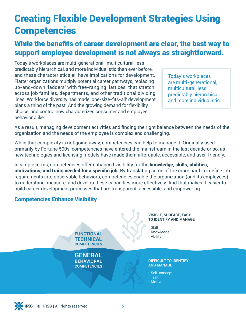### Creating Flexible Development Strategies Using **Competencies**

#### While the benefits of career development are clear, the best way to support employee development is not always as straightforward.

Today's workplaces are multi-generational, multicultural, less predictably hierarchical, and more individualistic than ever before, and these characteristics all have implications for development. Flatter organizations multiply potential career pathways, replacing up-and-down 'ladders' with free-ranging 'lattices' that stretch across job families, departments, and other traditional dividing lines. Workforce diversity has made 'one-size-fits-all' development plans a thing of the past. And the growing demand for flexibility, choice, and control now characterizes consumer and employee behavior alike.

Today's workplaces are multi-generational, multicultural, less predictably hierarchical, and more individualistic.

As a result, managing development activities and finding the right balance between the needs of the organization and the needs of the employee is complex and challenging.

While that complexity is not going away, competencies can help to manage it. Originally used primarily by Fortune 500s, competencies have entered the mainstream in the last decade or so, as new technologies and licensing models have made them affordable, accessible, and user-friendly.

In simple terms, competencies offer enhanced visibility for the **knowledge, skills, abilities,** motivations, and traits needed for a specific job. By translating some of the more hard-to-define job requirements into observable behaviors, competencies enable the organization (and its employees) to understand, measure, and develop these capacities more effectively. And that makes it easier to build career development processes that are transparent, accessible, and empowering.

#### Competencies Enhance Visibility

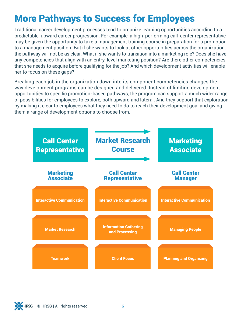### More Pathways to Success for Employees

Traditional career development processes tend to organize learning opportunities according to a predictable, upward career progression. For example, a high-performing call-center representative may be given the opportunity to take a management training course in preparation for a promotion to a management position. But if she wants to look at other opportunities across the organization, the pathway will not be as clear. What if she wants to transition into a marketing role? Does she have any competencies that align with an entry-level marketing position? Are there other competencies that she needs to acquire before qualifying for the job? And which development activities will enable her to focus on these gaps?

Breaking each job in the organization down into its component competencies changes the way development programs can be designed and delivered. Instead of limiting development opportunities to specific promotion-based pathways, the program can support a much wider range of possibilities for employees to explore, both upward and lateral. And they support that exploration by making it clear to employees what they need to do to reach their development goal and giving them a range of development options to choose from.



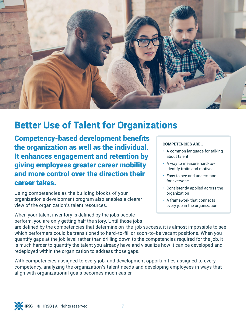

### Better Use of Talent for Organizations

Competency-based development benefits the organization as well as the individual. It enhances engagement and retention by giving employees greater career mobility and more control over the direction their career takes.

Using competencies as the building blocks of your organization's development program also enables a clearer view of the organization's talent resources.

When your talent inventory is defined by the jobs people perform, you are only getting half the story. Until those jobs

#### **COMPETENCIES ARE…**

- A common language for talking about talent
- A way to measure hard-toidentify traits and motives
- Easy to see and understand for everyone
- Consistently applied across the organization
- A framework that connects every job in the organization

are defined by the competencies that determine on-the-job success, it is almost impossible to see which performers could be transitioned to hard-to-fill or soon-to-be vacant positions. When you quantify gaps at the job level rather than drilling down to the competencies required for the job, it is much harder to quantify the talent you already have and visualize how it can be developed and redeployed within the organization to address those gaps.

With competencies assigned to every job, and development opportunities assigned to every competency, analyzing the organization's talent needs and developing employees in ways that align with organizational goals becomes much easier.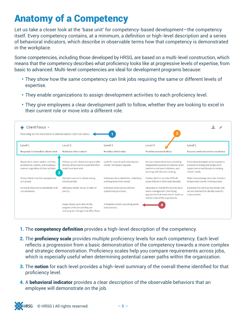### Anatomy of a Competency

Let us take a closer look at the 'base unit' for competency-based development—the competency itself. Every competency contains, at a minimum, a definition or high-level description and a series of behavioral indicators, which describe in observable terms how that competency is demonstrated in the workplace.

Some competencies, including those developed by HRSG, are based on a multi-level construction, which means that the competency describes what proficiency looks like at progressive levels of expertise, from basic to advanced. Multi-level competencies are ideal for development programs because:

- They show how the same competency can link jobs requiring the same or different levels of expertise.
- They enable organizations to assign development activities to each proficiency level.
- They give employees a clear development path to follow, whether they are looking to excel in their current role or move into a different role.

| Client Focus $\sim$<br>з<br>Providing service excellence to internal and/or external clients.                                |                                                                                                                |                                                                       |                                                                                                                                                          |                                                                                                                                        |  |
|------------------------------------------------------------------------------------------------------------------------------|----------------------------------------------------------------------------------------------------------------|-----------------------------------------------------------------------|----------------------------------------------------------------------------------------------------------------------------------------------------------|----------------------------------------------------------------------------------------------------------------------------------------|--|
| Level 1                                                                                                                      | $ $ evel $2$                                                                                                   | evel <sub>3</sub>                                                     | level 4                                                                                                                                                  | Level 5                                                                                                                                |  |
| Responds to immediate client needs                                                                                           | <b>Maintains client contact</b>                                                                                | Provides added value                                                  | Provides seasoned advice                                                                                                                                 | <b>Ensures continued service excellence</b>                                                                                            |  |
| Responds to client needs in a timely,<br>professional, helpful, and courteous<br>manner, regardless of client attitude.<br>2 | Follows up with clients during and after<br>delivery of services to ensure that their<br>needs have been met.  | Looks for ways to add value beyond<br>clients' immediate requests.    | Acts as a seasoned adviser, providing<br>independent opinion on complex client<br>problems and novel initiatives, and<br>assisting with decision-making. | Formulates strategies and processes to<br>evaluate emerging and longer-term<br>opportunities and threats to meeting<br>clients' needs. |  |
| Shows clients that their perspectives<br>are valued.                                                                         | Maintains service to clients during<br>critical periods.                                                       | Addresses the unidentified, underlying<br>and long-term client needs. | Pushes client to consider difficult<br>issues that are in their best interests.                                                                          | Determines strategic business direction<br>to best meet clients' evolving needs.                                                       |  |
| Strives to meet service standards in all<br>circumstances.                                                                   | Addresses clients' issues in order of<br>priority.                                                             | Enhances client service delivery<br>systems and processes.            | Advocates on behalf of clients to more<br>senior management, identifying<br>approaches that meet clients' needs as<br>well as those of the organization. | Evaluates the client service model and<br>service standards to identify areas for<br>improvement.                                      |  |
|                                                                                                                              | Keeps clients up-to-date on the<br>progress of the service they are<br>receiving and changes that affect them. | Anticipates clients' upcoming needs<br>and concerns.                  |                                                                                                                                                          |                                                                                                                                        |  |

- 1. The **competency definition** provides a high-level description of the competency.
- 2. The **proficiency scale** provides multiple proficiency levels for each competency. Each level reflects a progression from a basic demonstration of the competency towards a more complex and strategic demonstration. Proficiency scales help you compare requirements across jobs, which is especially useful when determining potential career paths within the organization.
- **3.** The notion for each level provides a high-level summary of the overall theme identified for that proficiency level.
- 4. A behavioral indicator provides a clear description of the observable behaviors that an employee will demonstrate on the job.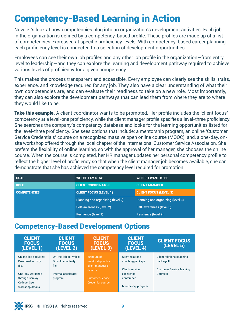### Competency-Based Learning in Action

Now let's look at how competencies plug into an organization's development activities. Each job in the organization is defined by a competency-based profile. These profiles are made up of a list of competencies expressed at specific proficiency levels. With competency-based career planning, each proficiency level is connected to a selection of development opportunities.

Employees can see their own job profiles and any other job profile in the organization—from entry level to leadership—and they can explore the learning and development pathway required to achieve various levels of proficiency for a given competency.

This makes the process transparent and accessible. Every employee can clearly see the skills, traits, experience, and knowledge required for any job. They also have a clear understanding of what their own competencies are, and can evaluate their readiness to take on a new role. Most importantly, they can also explore the development pathways that can lead them from where they are to where they would like to be.

Take this example. A client coordinator wants to be promoted. Her profile includes the 'client focus' competency at a level-one proficiency, while the client manager profile specifies a level-three proficiency. She searches the company's competency database and looks for the learning opportunities listed for the level-three proficiency. She sees options that include: a mentorship program, an online 'Customer Service Credentials' course on a recognized massive open online course (MOOC); and, a one-day, onsite workshop offered through the local chapter of the International Customer Service Association. She prefers the flexibility of online learning, so with the approval of her manager, she chooses the online course. When the course is completed, her HR manager updates her personal competency profile to reflect the higher level of proficiency so that when the client manager job becomes available, she can demonstrate that she has achieved the competency level required for promotion.

| <b>GOAL</b>         | <b>WHERE I AM NOW</b>             | <b>WHERE I WANT TO BE</b>         |
|---------------------|-----------------------------------|-----------------------------------|
| <b>ROLE</b>         | <b>CLIENT COORDINATOR</b>         | <b>CLIENT MANAGER</b>             |
| <b>COMPETENCIES</b> | <b>CLIENT FOCUS (LEVEL 1)</b>     | <b>CLIENT FOCUS (LEVEL 3)</b>     |
|                     | Planning and organizing (level 2) | Planning and organizing (level 3) |
|                     | Self-awareness (level 2)          | Self-awareness (level 3)          |
|                     | Resilience (level 1)              | <b>Resilience (level 2)</b>       |

#### Competency-Based Development Options

| <b>CLIENT</b><br><b>FOCUS</b><br>(LEVEL 1)                                                                                       | <b>CLIENT</b><br><b>FOCUS</b><br>(LEVEL 2)                                              | <b>CLIENT</b><br><b>FOCUS</b><br>(LEVEL 3)                                                                               | <b>CLIENT</b><br><b>FOCUS</b><br>(LEVEL 4)                                                               | <b>CLIENT FOCUS</b><br>(LEVEL 5)                                                         |
|----------------------------------------------------------------------------------------------------------------------------------|-----------------------------------------------------------------------------------------|--------------------------------------------------------------------------------------------------------------------------|----------------------------------------------------------------------------------------------------------|------------------------------------------------------------------------------------------|
| On-the-job activities:<br>Download activity<br>file.<br>One-day workshop<br>through Barclay<br>College. See<br>workshop details. | On-the-job activities:<br>Download activity<br>file.<br>Internal accelerator<br>program | 20 hours of<br>mentorship with a<br>client manager or<br>director<br><b>Customer Service</b><br><b>Credential course</b> | Client relations<br>coaching package<br>Client-service<br>excellence<br>conference<br>Mentorship program | Client relations coaching<br>package II<br><b>Customer Service Training</b><br>Course II |

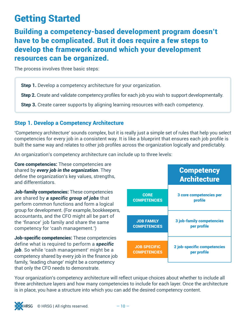### Getting Started

Building a competency-based development program doesn't have to be complicated. But it does require a few steps to develop the framework around which your development resources can be organized.

The process involves three basic steps:

Step 1. Develop a competency architecture for your organization.

Step 2. Create and validate competency profiles for each job you wish to support developmentally.

Step 3. Create career supports by aligning learning resources with each competency.

#### Step 1. Develop a Competency Architecture

'Competency architecture' sounds complex, but it is really just a simple set of rules that help you select competencies for every job in a consistent way. It is like a blueprint that ensures each job profile is built the same way and relates to other job profiles across the organization logically and predictably.

An organization's competency architecture can include up to three levels:

Core competencies: These competencies are shared by *every job in the organization*. They define the organization's key values, strengths, and differentiators.

Job-family competencies: These competencies are shared by *a specific group of jobs* that perform common functions and form a logical group for development. (For example, bookkeepers, accountants, and the CFO might all be part of the 'finance' job family and share the same competency for 'cash management.')

Job-specific competencies: These competencies define what is required to perform a *specific job*. So while 'cash management' might be a competency shared by every job in the finance job family, 'leading change' might be a competency that only the CFO needs to demonstrate.



Your organization's competency architecture will reflect unique choices about whether to include all three architecture layers and how many competencies to include for each layer. Once the architecture is in place, you have a structure into which you can add the desired competency content.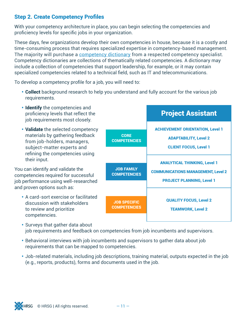#### Step 2. Create Competency Profiles

With your competency architecture in place, you can begin selecting the competencies and proficiency levels for specific jobs in your organization.

These days, few organizations develop their own competencies in house, because it is a costly and time-consuming process that requires specialized expertise in competency-based management. The majority will purchase a [competency dictionary](http://www.hrsg.ca/resources/competency-dictionary/) from a respected competency specialist. Competency dictionaries are collections of thematically related competencies. A dictionary may include a collection of competencies that support leadership, for example, or it may contain specialized competencies related to a technical field, such as IT and telecommunications.

To develop a competency profile for a job, you will need to:

• Collect background research to help you understand and fully account for the various job requirements.



- job requirements and feedback on competencies from job incumbents and supervisors.
- Behavioral interviews with job incumbents and supervisors to gather data about job requirements that can be mapped to competencies.
- Job-related materials, including job descriptions, training material, outputs expected in the job (e.g., reports, products), forms and documents used in the job.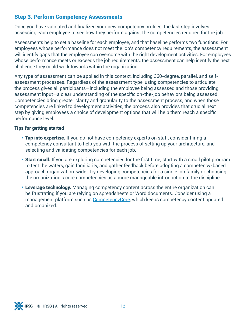#### Step 3. Perform Competency Assessments

Once you have validated and finalized your new competency profiles, the last step involves assessing each employee to see how they perform against the competencies required for the job.

Assessments help to set a baseline for each employee, and that baseline performs two functions. For employees whose performance does not meet the job's competency requirements, the assessment will identify gaps that the employee can overcome with the right development activities. For employees whose performance meets or exceeds the job requirements, the assessment can help identify the next challenge they could work towards within the organization.

Any type of assessment can be applied in this context, including 360-degree, parallel, and selfassessment processes. Regardless of the assessment type, using competencies to articulate the process gives all participants—including the employee being assessed and those providing assessment input—a clear understanding of the specific on-the-job behaviors being assessed. Competencies bring greater clarity and granularity to the assessment process, and when those competencies are linked to development activities, the process also provides that crucial next step by giving employees a choice of development options that will help them reach a specific performance level.

#### Tips for getting started

- Tap into expertise. If you do not have competency experts on staff, consider hiring a competency consultant to help you with the process of setting up your architecture, and selecting and validating competencies for each job.
- Start small. If you are exploring competencies for the first time, start with a small pilot program to test the waters, gain familiarity, and gather feedback before adopting a competency-based approach organization-wide. Try developing competencies for a single job family or choosing the organization's core competencies as a more manageable introduction to the discipline.
- Leverage technology. Managing competency content across the entire organization can be frustrating if you are relying on spreadsheets or Word documents. Consider using a management platform such as [CompetencyCore](http://www.hrsg.ca/software/), which keeps competency content updated and organized.

 $\odot$  HRSG | All rights reserved.  $-12$  –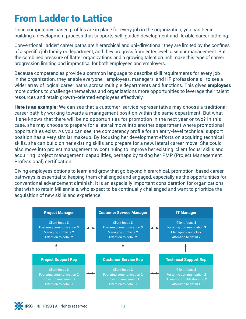### From Ladder to Lattice

Once competency-based profiles are in place for every job in the organization, you can begin building a development process that supports self-guided development and flexible career latticing.

Conventional 'ladder' career paths are hierarchical and uni-directional: they are limited by the confines of a specific job family or department, and they progress from entry level to senior management. But the combined pressure of flatter organizations and a growing talent crunch make this type of career progression limiting and impractical for both employees and employers.

Because competencies provide a common language to describe skill requirements for every job in the organization, they enable everyone—employees, managers, and HR professionals—to see a wider array of logical career paths across multiple departments and functions. This gives **employees** more options to challenge themselves and organizations more opportunities to leverage their talent resources and retain growth-oriented employees effectively.

Here is an example: We can see that a customer-service representative may choose a traditional career path by working towards a management position within the same department. But what if she knows that there will be no opportunities for promotion in the next year or two? In this case, she may choose to prepare for a lateral move into another department where promotional opportunities exist. As you can see, the competency profile for an entry-level technical support position has a very similar makeup. By focusing her development efforts on acquiring technical skills, she can build on her existing skills and prepare for a new, lateral career move. She could also move into project management by continuing to improve her existing 'client focus' skills and acquiring 'project management' capabilities, perhaps by taking her PMP (Project Management Professional) certification.

Giving employees options to learn and grow that go beyond hierarchical, promotion-based career pathways is essential to keeping them challenged and engaged, especially as the opportunities for conventional advancement diminish. It is an especially important consideration for organizations that wish to retain Millennials, who expect to be continually challenged and want to prioritize the acquisition of new skills and experience.



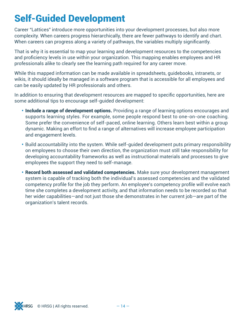### Self-Guided Development

Career "Lattices" introduce more opportunities into your development processes, but also more complexity. When careers progress hierarchically, there are fewer pathways to identify and chart. When careers can progress along a variety of pathways, the variables multiply significantly.

That is why it is essential to map your learning and development resources to the competencies and proficiency levels in use within your organization. This mapping enables employees and HR professionals alike to clearly see the learning path required for any career move.

While this mapped information can be made available in spreadsheets, guidebooks, intranets, or wikis, it should ideally be managed in a software program that is accessible for all employees and can be easily updated by HR professionals and others.

In addition to ensuring that development resources are mapped to specific opportunities, here are some additional tips to encourage self-guided development:

- Include a range of development options. Providing a range of learning options encourages and supports learning styles. For example, some people respond best to one-on-one coaching. Some prefer the convenience of self-paced, online learning. Others learn best within a group dynamic. Making an effort to find a range of alternatives will increase employee participation and engagement levels.
- Build accountability into the system. While self-guided development puts primary responsibility on employees to choose their own direction, the organization must still take responsibility for developing accountability frameworks as well as instructional materials and processes to give employees the support they need to self-manage.
- Record both assessed and validated competencies. Make sure your development management system is capable of tracking both the individual's assessed competencies and the validated competency profile for the job they perform. An employee's competency profile will evolve each time she completes a development activity, and that information needs to be recorded so that her wider capabilities—and not just those she demonstrates in her current job—are part of the organization's talent records.

 $\odot$  HRSG | All rights reserved.  $-14$  –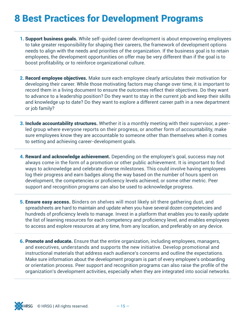### 8 Best Practices for Development Programs

- **1. Support business goals.** While self-quided career development is about empowering employees to take greater responsibility for shaping their careers, the framework of development options needs to align with the needs and priorities of the organization. If the business goal is to retain employees, the development opportunities on offer may be very different than if the goal is to boost profitability, or to reinforce organizational culture.
- 2. Record employee objectives. Make sure each employee clearly articulates their motivation for developing their career. While those motivating factors may change over time, it is important to record them in a living document to ensure the outcomes reflect their objectives. Do they want to advance to a leadership position? Do they want to stay in the current job and keep their skills and knowledge up to date? Do they want to explore a different career path in a new department or job family?
- **3. Include accountability structures.** Whether it is a monthly meeting with their supervisor, a peerled group where everyone reports on their progress, or another form of accountability, make sure employees know they are accountable to someone other than themselves when it comes to setting and achieving career-development goals.
- 4. Reward and acknowledge achievement. Depending on the employee's goal, success may not always come in the form of a promotion or other public achievement. It is important to find ways to acknowledge and celebrate diverse milestones. This could involve having employees log their progress and earn badges along the way based on the number of hours spent on development, the competencies or proficiency levels achieved, or some other metric. Peer support and recognition programs can also be used to acknowledge progress.
- **5. Ensure easy access.** Binders on shelves will most likely sit there gathering dust, and spreadsheets are hard to maintain and update when you have several dozen competencies and hundreds of proficiency levels to manage. Invest in a platform that enables you to easily update the list of learning resources for each competency and proficiency level, and enables employees to access and explore resources at any time, from any location, and preferably on any device.
- **6. Promote and educate.** Ensure that the entire organization, including employees, managers, and executives, understands and supports the new initiative. Develop promotional and instructional materials that address each audience's concerns and outline the expectations. Make sure information about the development program is part of every employee's onboarding or orientation process. Peer support and recognition programs can also raise the profile of the organization's development activities, especially when they are integrated into social networks.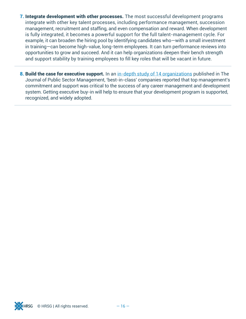- **7. Integrate development with other processes.** The most successful development programs integrate with other key talent processes, including performance management, succession management, recruitment and staffing, and even compensation and reward. When development is fully integrated, it becomes a powerful support for the full talent-management cycle. For example, it can broaden the hiring pool by identifying candidates who—with a small investment in training—can become high-value, long-term employees. It can turn performance reviews into opportunities to grow and succeed. And it can help organizations deepen their bench strength and support stability by training employees to fill key roles that will be vacant in future.
- 8. Build the case for executive support. In an [in-depth study of 14 organizations](http://www.optimumonline.ca/pdf/29-4/career_development_3.pdf) published in The Journal of Public Sector Management, 'best-in-class' companies reported that top management's commitment and support was critical to the success of any career management and development system. Getting executive buy-in will help to ensure that your development program is supported, recognized, and widely adopted.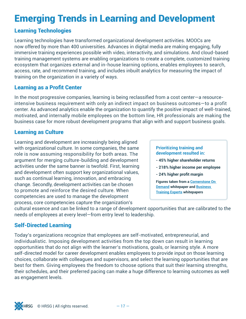### Emerging Trends in Learning and Development

#### Learning Technologies

Learning technologies have transformed organizational development activities. MOOCs are now offered by more than 400 universities. Advances in digital media are making engaging, fully immersive training experiences possible with video, interactivity, and simulations. And cloud-based training management systems are enabling organizations to create a complete, customized training ecosystem that organizes external and in-house learning options, enables employees to search, access, rate, and recommend training, and includes inbuilt analytics for measuring the impact of training on the organization in a variety of ways.

#### Learning as a Profit Center

In the most progressive companies, learning is being reclassified from a cost center—a resourceintensive business requirement with only an indirect impact on business outcomes—to a profit center. As advanced analytics enable the organization to quantify the positive impact of well-trained, motivated, and internally mobile employees on the bottom line, HR professionals are making the business case for more robust development programs that align with and support business goals.

#### Learning as Culture

Learning and development are increasingly being aligned with organizational culture. In some companies, the same role is now assuming responsibility for both areas. The argument for merging culture-building and development activities under the same banner is twofold. First, learning and development often support key organizational values, such as continual learning, innovation, and embracing change. Secondly, development activities can be chosen to promote and reinforce the desired culture. When competencies are used to manage the development process, core competencies capture the organization's

#### **Prioritizing training and development resulted in:**

- **45% higher shareholder returns**
- **218% higher income per employee**
- **24% higher profit margin**

**Figures taken from a [Cornerstone On](https://www.cornerstoneondemand.com/sites/default/files/whitepaper/csod-wp-employee-productivity-curve-022015.pdf)  [Demand](https://www.cornerstoneondemand.com/sites/default/files/whitepaper/csod-wp-employee-productivity-curve-022015.pdf) whitepaper and [Business](http://www.businesstrainingexperts.com/preview/training_white_papers.htm)  [Training Experts](http://www.businesstrainingexperts.com/preview/training_white_papers.htm) whitepapers**

cultural essence and can be linked to a range of development opportunities that are calibrated to the needs of employees at every level—from entry level to leadership.

#### Self-Directed Learning

Today's organizations recognize that employees are self-motivated, entrepreneurial, and individualistic. Imposing development activities from the top down can result in learning opportunities that do not align with the learner's motivations, goals, or learning style. A more self-directed model for career development enables employees to provide input on those learning choices, collaborate with colleagues and supervisors, and select the learning opportunities that are best for them. Giving employees the freedom to choose options that suit their learning strengths, their schedules, and their preferred pacing can make a huge difference to learning outcomes as well as engagement levels.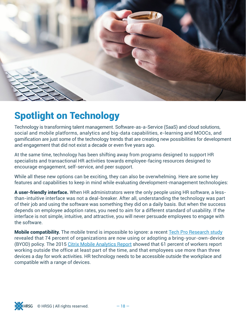

### Spotlight on Technology

Technology is transforming talent management. Software-as-a-Service (SaaS) and cloud solutions, social and mobile platforms, analytics and big-data capabilities, e-learning and MOOCs, and gamification are just some of the technology trends that are creating new possibilities for development and engagement that did not exist a decade or even five years ago.

At the same time, technology has been shifting away from programs designed to support HR specialists and transactional HR activities towards employee-facing resources designed to encourage engagement, self-service, and peer support.

While all these new options can be exciting, they can also be overwhelming. Here are some key features and capabilities to keep in mind while evaluating development-management technologies:

A user-friendly interface. When HR administrators were the only people using HR software, a lessthan-intuitive interface was not a deal-breaker. After all, understanding the technology was part of their job and using the software was something they did on a daily basis. But when the success depends on employee adoption rates, you need to aim for a different standard of usability. If the interface is not simple, intuitive, and attractive, you will never persuade employees to engage with the software.

Mobile compatibility. The mobile trend is impossible to ignore: a recent [Tech Pro Research study](https://www.techrepublic.com/resource-library/whitepapers/wearables-byod-and-iot-current-and-future-plans-in-the-enterprise/) revealed that 74 percent of organizations are now using or adopting a bring-your-own-device (BYOD) policy. The 2015 [Citrix Mobile Analytics Report](https://www.citrix.com/articles-and-insights/workforce-mobility/jun-2015/7-enterprise-mobility-statistics-you-should-know.html) showed that 61 percent of workers report working outside the office at least part of the time, and that employees use more than three devices a day for work activities. HR technology needs to be accessible outside the workplace and compatible with a range of devices.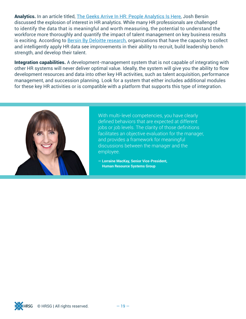Analytics. In an article titled, [The Geeks Arrive In HR: People Analytics Is Here](http://www.forbes.com/sites/joshbersin/2015/02/01/geeks-arrive-in-hr-people-analytics-is-here/#1e2842207db3), Josh Bersin discussed the explosion of interest in HR analytics. While many HR professionals are challenged to identify the data that is meaningful and worth measuring, the potential to understand the workforce more thoroughly and quantify the impact of talent management on key business results is exciting. According to [Bersin By Deloitte research](http://www.bersin.com/News/Content.aspx?id=16912), organizations that have the capacity to collect and intelligently apply HR data see improvements in their ability to recruit, build leadership bench strength, and develop their talent.

Integration capabilities. A development-management system that is not capable of integrating with other HR systems will never deliver optimal value. Ideally, the system will give you the ability to flow development resources and data into other key HR activities, such as talent acquisition, performance management, and succession planning. Look for a system that either includes additional modules for these key HR activities or is compatible with a platform that supports this type of integration.



With multi-level competencies, you have clearly defined behaviors that are expected at different jobs or job levels. The clarity of those definitions facilitates an objective evaluation for the manager, and provides a framework for meaningful discussions between the manager and the employee.

**— Lorraine MacKay, Senior Vice-President, Human Resource Systems Group**

 $© HRSG | All rights reserved.  $-19 -$$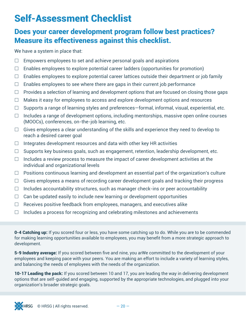### Self-Assessment Checklist

#### Does your career development program follow best practices? Measure its effectiveness against this checklist.

We have a system in place that:

- $\Box$  Empowers employees to set and achieve personal goals and aspirations
- $\Box$  Enables employees to explore potential career ladders (opportunities for promotion)
- $\Box$  Enables employees to explore potential career lattices outside their department or job family
- $\Box$  Enables employees to see where there are gaps in their current job performance
- $\Box$  Provides a selection of learning and development options that are focused on closing those gaps
- $\Box$  Makes it easy for employees to access and explore development options and resources
- $\Box$  Supports a range of learning styles and preferences—formal, informal, visual, experiential, etc.
- $\Box$  Includes a range of development options, including mentorships, massive open online courses (MOOCs), conferences, on-the-job learning, etc.
- $\Box$  Gives employees a clear understanding of the skills and experience they need to develop to reach a desired career goal
- $\Box$  Integrates development resources and data with other key HR activities
- $\Box$  Supports key business goals, such as engagement, retention, leadership development, etc.
- $\Box$  Includes a review process to measure the impact of career development activities at the individual and organizational levels
- $\Box$  Positions continuous learning and development an essential part of the organization's culture
- $\Box$  Gives employees a means of recording career development goals and tracking their progress
- $\Box$  Includes accountability structures, such as manager check-ins or peer accountability
- $\Box$  Can be updated easily to include new learning or development opportunities
- $\Box$  Receives positive feedback from employees, managers, and executives alike
- $\Box$  Includes a process for recognizing and celebrating milestones and achievements

**0-4 Catching up:** If you scored four or less, you have some catching up to do. While you are to be commended for making learning opportunities available to employees, you may benefit from a more strategic approach to development.

5-9 Industry average: If you scored between five and nine, you arWe committed to the development of your employees and keeping pace with your peers. You are making an effort to include a variety of learning styles, and balancing the needs of employees with the needs of the organization.

10-17 Leading the pack: If you scored between 10 and 17, you are leading the way in delivering development options that are self-guided and engaging, supported by the appropriate technologies, and plugged into your organization's broader strategic goals.